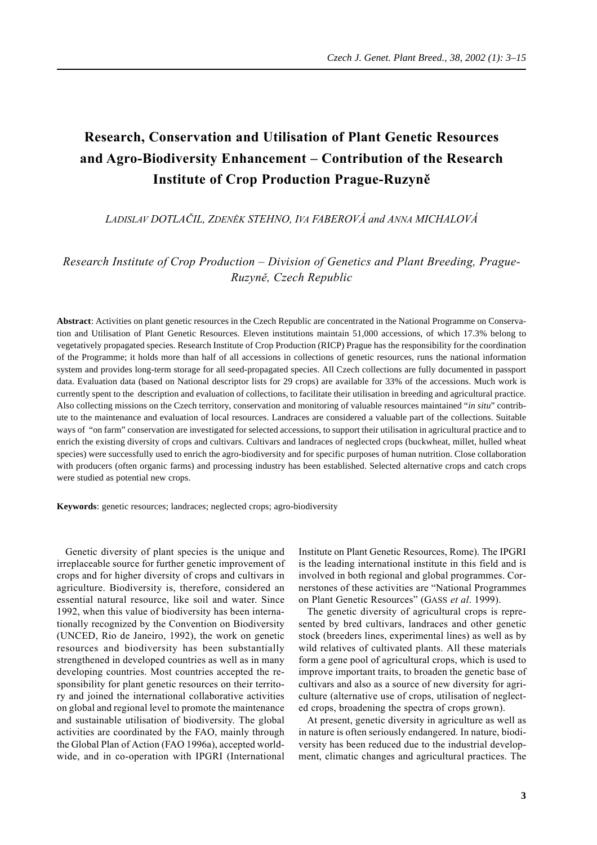# **Research, Conservation and Utilisation of Plant Genetic Resources and Agro-Biodiversity Enhancement – Contribution of the Research Institute of Crop Production Prague-Ruzyně**

## *LADISLAV DOTLAČIL, ZDENĚK STEHNO, IVA FABEROVÁ and ANNA MICHALOVÁ*

# *Research Institute of Crop Production – Division of Genetics and Plant Breeding, Prague-Ruzyně, Czech Republic*

**Abstract**: Activities on plant genetic resources in the Czech Republic are concentrated in the National Programme on Conservation and Utilisation of Plant Genetic Resources. Eleven institutions maintain 51,000 accessions, of which 17.3% belong to vegetatively propagated species. Research Institute of Crop Production (RICP) Prague has the responsibility for the coordination of the Programme; it holds more than half of all accessions in collections of genetic resources, runs the national information system and provides long-term storage for all seed-propagated species. All Czech collections are fully documented in passport data. Evaluation data (based on National descriptor lists for 29 crops) are available for 33% of the accessions. Much work is currently spent to the description and evaluation of collections, to facilitate their utilisation in breeding and agricultural practice. Also collecting missions on the Czech territory, conservation and monitoring of valuable resources maintained "*in situ*" contribute to the maintenance and evaluation of local resources. Landraces are considered a valuable part of the collections. Suitable ways of "on farm" conservation are investigated for selected accessions, to support their utilisation in agricultural practice and to enrich the existing diversity of crops and cultivars. Cultivars and landraces of neglected crops (buckwheat, millet, hulled wheat species) were successfully used to enrich the agro-biodiversity and for specific purposes of human nutrition. Close collaboration with producers (often organic farms) and processing industry has been established. Selected alternative crops and catch crops were studied as potential new crops.

**Keywords**: genetic resources; landraces; neglected crops; agro-biodiversity

Genetic diversity of plant species is the unique and irreplaceable source for further genetic improvement of crops and for higher diversity of crops and cultivars in agriculture. Biodiversity is, therefore, considered an essential natural resource, like soil and water. Since 1992, when this value of biodiversity has been internationally recognized by the Convention on Biodiversity (UNCED, Rio de Janeiro, 1992), the work on genetic resources and biodiversity has been substantially strengthened in developed countries as well as in many developing countries. Most countries accepted the responsibility for plant genetic resources on their territory and joined the international collaborative activities on global and regional level to promote the maintenance and sustainable utilisation of biodiversity. The global activities are coordinated by the FAO, mainly through the Global Plan of Action (FAO 1996a), accepted worldwide, and in co-operation with IPGRI (International

Institute on Plant Genetic Resources, Rome). The IPGRI is the leading international institute in this field and is involved in both regional and global programmes. Cornerstones of these activities are "National Programmes on Plant Genetic Resources" (GASS *et al*. 1999).

The genetic diversity of agricultural crops is represented by bred cultivars, landraces and other genetic stock (breeders lines, experimental lines) as well as by wild relatives of cultivated plants. All these materials form a gene pool of agricultural crops, which is used to improve important traits, to broaden the genetic base of cultivars and also as a source of new diversity for agriculture (alternative use of crops, utilisation of neglected crops, broadening the spectra of crops grown).

At present, genetic diversity in agriculture as well as in nature is often seriously endangered. In nature, biodiversity has been reduced due to the industrial development, climatic changes and agricultural practices. The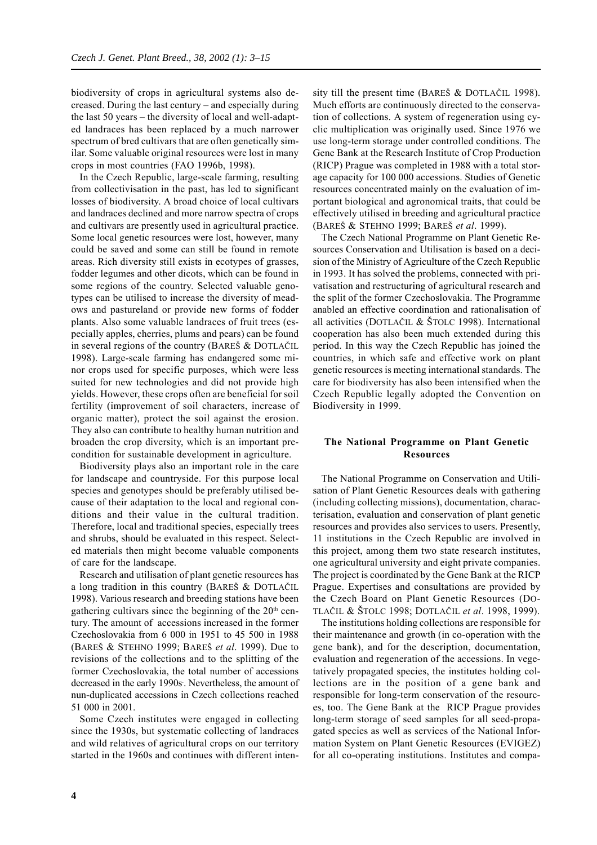biodiversity of crops in agricultural systems also decreased. During the last century – and especially during the last 50 years – the diversity of local and well-adapted landraces has been replaced by a much narrower spectrum of bred cultivars that are often genetically similar. Some valuable original resources were lost in many crops in most countries (FAO 1996b, 1998).

In the Czech Republic, large-scale farming, resulting from collectivisation in the past, has led to significant losses of biodiversity. A broad choice of local cultivars and landraces declined and more narrow spectra of crops and cultivars are presently used in agricultural practice. Some local genetic resources were lost, however, many could be saved and some can still be found in remote areas. Rich diversity still exists in ecotypes of grasses, fodder legumes and other dicots, which can be found in some regions of the country. Selected valuable genotypes can be utilised to increase the diversity of meadows and pastureland or provide new forms of fodder plants. Also some valuable landraces of fruit trees (especially apples, cherries, plums and pears) can be found in several regions of the country (BAREŠ & DOTLAČIL 1998). Large-scale farming has endangered some minor crops used for specific purposes, which were less suited for new technologies and did not provide high yields. However, these crops often are beneficial for soil fertility (improvement of soil characters, increase of organic matter), protect the soil against the erosion. They also can contribute to healthy human nutrition and broaden the crop diversity, which is an important precondition for sustainable development in agriculture.

Biodiversity plays also an important role in the care for landscape and countryside. For this purpose local species and genotypes should be preferably utilised because of their adaptation to the local and regional conditions and their value in the cultural tradition. Therefore, local and traditional species, especially trees and shrubs, should be evaluated in this respect. Selected materials then might become valuable components of care for the landscape.

Research and utilisation of plant genetic resources has a long tradition in this country (BAREŠ & DOTLAČIL 1998). Various research and breeding stations have been gathering cultivars since the beginning of the  $20<sup>th</sup>$  century. The amount of accessions increased in the former Czechoslovakia from 6 000 in 1951 to 45 500 in 1988 (BAREŠ & STEHNO 1999; BAREŠ *et al*. 1999). Due to revisions of the collections and to the splitting of the former Czechoslovakia, the total number of accessions decreased in the early 1990s. . Nevertheless, the amount of nun-duplicated accessions in Czech collections reached 51 000 in 2001.

Some Czech institutes were engaged in collecting since the 1930s, but systematic collecting of landraces and wild relatives of agricultural crops on our territory started in the 1960s and continues with different intensity till the present time (BAREŠ & DOTLAČIL 1998). Much efforts are continuously directed to the conservation of collections. A system of regeneration using cyclic multiplication was originally used. Since 1976 we use long-term storage under controlled conditions. The Gene Bank at the Research Institute of Crop Production (RICP) Prague was completed in 1988 with a total storage capacity for 100 000 accessions. Studies of Genetic resources concentrated mainly on the evaluation of important biological and agronomical traits, that could be effectively utilised in breeding and agricultural practice (BAREŠ & STEHNO 1999; BAREŠ *et al*. 1999).

The Czech National Programme on Plant Genetic Resources Conservation and Utilisation is based on a decision of the Ministry of Agriculture of the Czech Republic in 1993. It has solved the problems, connected with privatisation and restructuring of agricultural research and the split of the former Czechoslovakia. The Programme anabled an effective coordination and rationalisation of all activities (DOTLAČIL & ŠTOLC 1998). International cooperation has also been much extended during this period. In this way the Czech Republic has joined the countries, in which safe and effective work on plant genetic resources is meeting international standards. The care for biodiversity has also been intensified when the Czech Republic legally adopted the Convention on Biodiversity in 1999.

## **The National Programme on Plant Genetic Resources**

The National Programme on Conservation and Utilisation of Plant Genetic Resources deals with gathering (including collecting missions), documentation, characterisation, evaluation and conservation of plant genetic resources and provides also services to users. Presently, 11 institutions in the Czech Republic are involved in this project, among them two state research institutes, one agricultural university and eight private companies. The project is coordinated by the Gene Bank at the RICP Prague. Expertises and consultations are provided by the Czech Board on Plant Genetic Resources (DO-TLAČIL & ŠTOLC 1998; DOTLAČIL *et al*. 1998, 1999).

The institutions holding collections are responsible for their maintenance and growth (in co-operation with the gene bank), and for the description, documentation, evaluation and regeneration of the accessions. In vegetatively propagated species, the institutes holding collections are in the position of a gene bank and responsible for long-term conservation of the resources, too. The Gene Bank at the RICP Prague provides long-term storage of seed samples for all seed-propagated species as well as services of the National Information System on Plant Genetic Resources (EVIGEZ) for all co-operating institutions. Institutes and compa-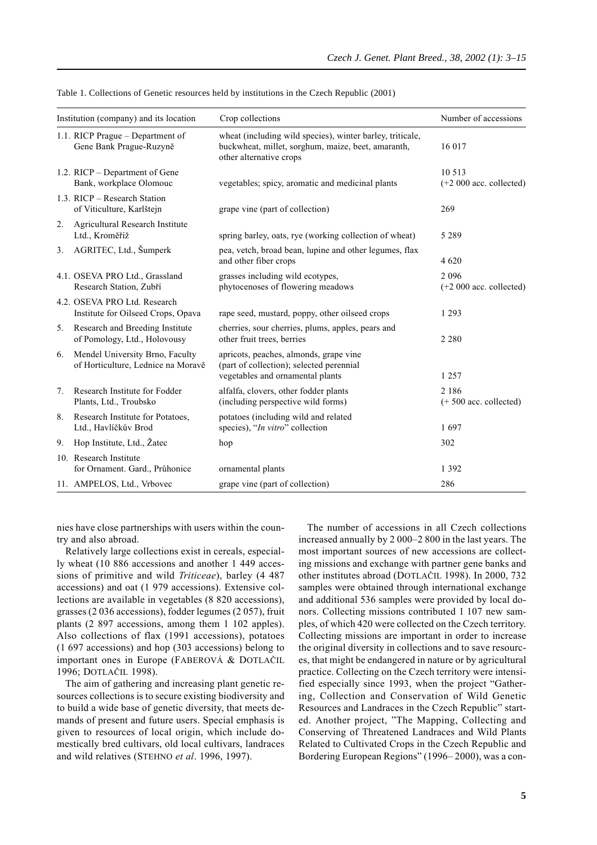|                  | Institution (company) and its location                                | Crop collections                                                                                                                           | Number of accessions                |  |
|------------------|-----------------------------------------------------------------------|--------------------------------------------------------------------------------------------------------------------------------------------|-------------------------------------|--|
|                  | 1.1. RICP Prague - Department of<br>Gene Bank Prague-Ruzyně           | wheat (including wild species), winter barley, triticale,<br>buckwheat, millet, sorghum, maize, beet, amaranth,<br>other alternative crops | 16 017                              |  |
|                  | 1.2. RICP - Department of Gene<br>Bank, workplace Olomouc             | vegetables; spicy, aromatic and medicinal plants                                                                                           | 10 5 13<br>$(+2000$ acc. collected) |  |
|                  | 1.3. RICP – Research Station<br>of Viticulture, Karlštejn             | grape vine (part of collection)                                                                                                            | 269                                 |  |
| $\overline{2}$ . | Agricultural Research Institute<br>Ltd., Kroměříž                     | spring barley, oats, rye (working collection of wheat)                                                                                     | 5 2 8 9                             |  |
| 3 <sub>1</sub>   | AGRITEC, Ltd., Šumperk                                                | pea, vetch, broad bean, lupine and other legumes, flax<br>and other fiber crops                                                            | 4 6 20                              |  |
|                  | 4.1. OSEVA PRO Ltd., Grassland<br>Research Station, Zubří             | grasses including wild ecotypes,<br>phytocenoses of flowering meadows                                                                      | 2 0 9 6<br>$(+2000$ acc. collected) |  |
|                  | 4.2. OSEVA PRO Ltd. Research<br>Institute for Oilseed Crops, Opava    | rape seed, mustard, poppy, other oilseed crops                                                                                             | 1 2 9 3                             |  |
| 5.               | Research and Breeding Institute<br>of Pomology, Ltd., Holovousy       | cherries, sour cherries, plums, apples, pears and<br>other fruit trees, berries                                                            | 2 2 8 0                             |  |
| 6.               | Mendel University Brno, Faculty<br>of Horticulture, Lednice na Moravě | apricots, peaches, almonds, grape vine<br>(part of collection); selected perennial<br>vegetables and ornamental plants                     | 1 2 5 7                             |  |
| 7.               | Research Institute for Fodder<br>Plants, Ltd., Troubsko               | alfalfa, clovers, other fodder plants<br>(including perspective wild forms)                                                                | 2 1 8 6<br>$(+ 500$ acc. collected) |  |
| 8.               | Research Institute for Potatoes,<br>Ltd., Havlíčkův Brod              | potatoes (including wild and related<br>species), "In vitro" collection                                                                    | 1697                                |  |
| 9.               | Hop Institute, Ltd., Žatec                                            | hop                                                                                                                                        | 302                                 |  |
|                  | 10. Research Institute<br>for Ornament. Gard., Průhonice              | ornamental plants                                                                                                                          | 1 3 9 2                             |  |
|                  | 11. AMPELOS, Ltd., Vrbovec                                            | grape vine (part of collection)                                                                                                            | 286                                 |  |

Table 1. Collections of Genetic resources held by institutions in the Czech Republic (2001)

nies have close partnerships with users within the country and also abroad.

Relatively large collections exist in cereals, especially wheat (10 886 accessions and another 1 449 accessions of primitive and wild *Triticeae*), barley (4 487 accessions) and oat (1 979 accessions). Extensive collections are available in vegetables (8 820 accessions), grasses (2 036 accessions), fodder legumes (2 057), fruit plants (2 897 accessions, among them 1 102 apples). Also collections of flax (1991 accessions), potatoes (1 697 accessions) and hop (303 accessions) belong to important ones in Europe (FABEROVÁ & DOTLAČIL 1996; DOTLAČIL 1998).

The aim of gathering and increasing plant genetic resources collections is to secure existing biodiversity and to build a wide base of genetic diversity, that meets demands of present and future users. Special emphasis is given to resources of local origin, which include domestically bred cultivars, old local cultivars, landraces and wild relatives (STEHNO *et al*. 1996, 1997).

The number of accessions in all Czech collections increased annually by 2 000–2 800 in the last years. The most important sources of new accessions are collecting missions and exchange with partner gene banks and other institutes abroad (DOTLAČIL 1998). In 2000, 732 samples were obtained through international exchange and additional 536 samples were provided by local donors. Collecting missions contributed 1 107 new samples, of which 420 were collected on the Czech territory. Collecting missions are important in order to increase the original diversity in collections and to save resources, that might be endangered in nature or by agricultural practice. Collecting on the Czech territory were intensified especially since 1993, when the project "Gathering, Collection and Conservation of Wild Genetic Resources and Landraces in the Czech Republic" started. Another project, "The Mapping, Collecting and Conserving of Threatened Landraces and Wild Plants Related to Cultivated Crops in the Czech Republic and Bordering European Regions" (1996– 2000), was a con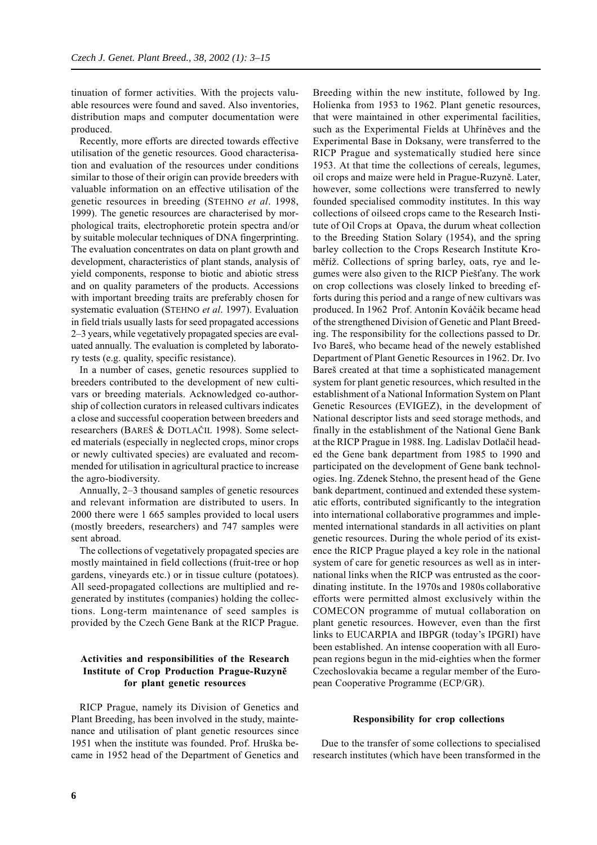tinuation of former activities. With the projects valuable resources were found and saved. Also inventories, distribution maps and computer documentation were produced.

Recently, more efforts are directed towards effective utilisation of the genetic resources. Good characterisation and evaluation of the resources under conditions similar to those of their origin can provide breeders with valuable information on an effective utilisation of the genetic resources in breeding (STEHNO *et al*. 1998, 1999). The genetic resources are characterised by morphological traits, electrophoretic protein spectra and/or by suitable molecular techniques of DNA fingerprinting. The evaluation concentrates on data on plant growth and development, characteristics of plant stands, analysis of yield components, response to biotic and abiotic stress and on quality parameters of the products. Accessions with important breeding traits are preferably chosen for systematic evaluation (STEHNO *et al*. 1997). Evaluation in field trials usually lasts for seed propagated accessions 2–3 years, while vegetatively propagated species are evaluated annually. The evaluation is completed by laboratory tests (e.g. quality, specific resistance).

In a number of cases, genetic resources supplied to breeders contributed to the development of new cultivars or breeding materials. Acknowledged co-authorship of collection curators in released cultivars indicates a close and successful cooperation between breeders and researchers (BAREŠ & DOTLAČIL 1998). Some selected materials (especially in neglected crops, minor crops or newly cultivated species) are evaluated and recommended for utilisation in agricultural practice to increase the agro-biodiversity.

Annually, 2–3 thousand samples of genetic resources and relevant information are distributed to users. In 2000 there were 1 665 samples provided to local users (mostly breeders, researchers) and 747 samples were sent abroad.

The collections of vegetatively propagated species are mostly maintained in field collections (fruit-tree or hop gardens, vineyards etc.) or in tissue culture (potatoes). All seed-propagated collections are multiplied and regenerated by institutes (companies) holding the collections. Long-term maintenance of seed samples is provided by the Czech Gene Bank at the RICP Prague.

## **Activities and responsibilities of the Research Institute of Crop Production Prague-Ruzyně for plant genetic resources**

RICP Prague, namely its Division of Genetics and Plant Breeding, has been involved in the study, maintenance and utilisation of plant genetic resources since 1951 when the institute was founded. Prof. Hruška became in 1952 head of the Department of Genetics and Breeding within the new institute, followed by Ing. Holienka from 1953 to 1962. Plant genetic resources, that were maintained in other experimental facilities, such as the Experimental Fields at Uhříněves and the Experimental Base in Doksany, were transferred to the RICP Prague and systematically studied here since 1953. At that time the collections of cereals, legumes, oil crops and maize were held in Prague-Ruzyně. Later, however, some collections were transferred to newly founded specialised commodity institutes. In this way collections of oilseed crops came to the Research Institute of Oil Crops at Opava, the durum wheat collection to the Breeding Station Solary (1954), and the spring barley collection to the Crops Research Institute Kroměříž. Collections of spring barley, oats, rye and legumes were also given to the RICP Piešťany. The work on crop collections was closely linked to breeding efforts during this period and a range of new cultivars was produced. In 1962 Prof. Antonín Kováčik became head of the strengthened Division of Genetic and Plant Breeding. The responsibility for the collections passed to Dr. Ivo Bareš, who became head of the newely established Department of Plant Genetic Resources in 1962. Dr. Ivo Bareš created at that time a sophisticated management system for plant genetic resources, which resulted in the establishment of a National Information System on Plant Genetic Resources (EVIGEZ), in the development of National descriptor lists and seed storage methods, and finally in the establishment of the National Gene Bank at the RICP Prague in 1988. Ing. Ladislav Dotlačil headed the Gene bank department from 1985 to 1990 and participated on the development of Gene bank technologies. Ing. Zdenek Stehno, the present head of the Gene bank department, continued and extended these systematic efforts, contributed significantly to the integration into international collaborative programmes and implemented international standards in all activities on plant genetic resources. During the whole period of its existence the RICP Prague played a key role in the national system of care for genetic resources as well as in international links when the RICP was entrusted as the coordinating institute. In the 1970s and 1980s collaborative efforts were permitted almost exclusively within the COMECON programme of mutual collaboration on plant genetic resources. However, even than the first links to EUCARPIA and IBPGR (today's IPGRI) have been established. An intense cooperation with all European regions begun in the mid-eighties when the former Czechoslovakia became a regular member of the European Cooperative Programme (ECP/GR).

### **Responsibility for crop collections**

Due to the transfer of some collections to specialised research institutes (which have been transformed in the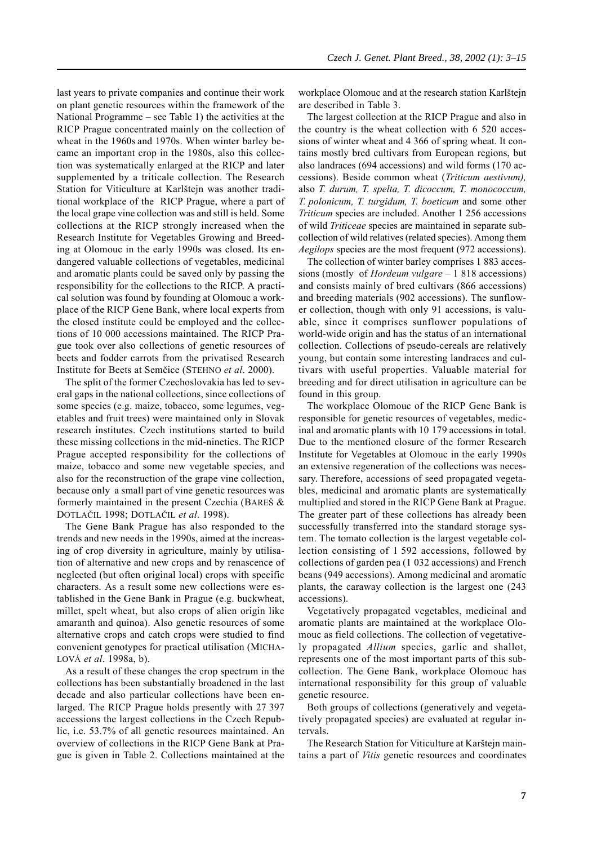last years to private companies and continue their work on plant genetic resources within the framework of the National Programme – see Table 1) the activities at the RICP Prague concentrated mainly on the collection of wheat in the 1960s and 1970s. When winter barley became an important crop in the 1980s, also this collection was systematically enlarged at the RICP and later supplemented by a triticale collection. The Research Station for Viticulture at Karlštejn was another traditional workplace of the RICP Prague, where a part of the local grape vine collection was and still is held. Some collections at the RICP strongly increased when the Research Institute for Vegetables Growing and Breeding at Olomouc in the early 1990s was closed. Its endangered valuable collections of vegetables, medicinal and aromatic plants could be saved only by passing the responsibility for the collections to the RICP. A practical solution was found by founding at Olomouc a workplace of the RICP Gene Bank, where local experts from the closed institute could be employed and the collections of 10 000 accessions maintained. The RICP Prague took over also collections of genetic resources of beets and fodder carrots from the privatised Research Institute for Beets at Semčice (STEHNO *et al*. 2000).

The split of the former Czechoslovakia has led to several gaps in the national collections, since collections of some species (e.g. maize, tobacco, some legumes, vegetables and fruit trees) were maintained only in Slovak research institutes. Czech institutions started to build these missing collections in the mid-nineties. The RICP Prague accepted responsibility for the collections of maize, tobacco and some new vegetable species, and also for the reconstruction of the grape vine collection, because only a small part of vine genetic resources was formerly maintained in the present Czechia (BAREŠ & DOTLAČIL 1998; DOTLAČIL *et al*. 1998).

The Gene Bank Prague has also responded to the trends and new needs in the 1990s, aimed at the increasing of crop diversity in agriculture, mainly by utilisation of alternative and new crops and by renascence of neglected (but often original local) crops with specific characters. As a result some new collections were established in the Gene Bank in Prague (e.g. buckwheat, millet, spelt wheat, but also crops of alien origin like amaranth and quinoa). Also genetic resources of some alternative crops and catch crops were studied to find convenient genotypes for practical utilisation (MICHA-LOVÁ *et al*. 1998a, b).

As a result of these changes the crop spectrum in the collections has been substantially broadened in the last decade and also particular collections have been enlarged. The RICP Prague holds presently with 27 397 accessions the largest collections in the Czech Republic, i.e. 53.7% of all genetic resources maintained. An overview of collections in the RICP Gene Bank at Prague is given in Table 2. Collections maintained at the workplace Olomouc and at the research station Karlštejn are described in Table 3.

The largest collection at the RICP Prague and also in the country is the wheat collection with 6 520 accessions of winter wheat and 4 366 of spring wheat. It contains mostly bred cultivars from European regions, but also landraces (694 accessions) and wild forms (170 accessions). Beside common wheat (*Triticum aestivum),* also *T. durum, T. spelta, T. dicoccum, T. monococcum, T. polonicum, T. turgidum, T. boeticum* and some other *Triticum* species are included. Another 1 256 accessions of wild *Triticeae* species are maintained in separate subcollection of wild relatives (related species). Among them *Aegilops* species are the most frequent (972 accessions).

The collection of winter barley comprises 1 883 accessions (mostly of *Hordeum vulgare –* 1 818 accessions) and consists mainly of bred cultivars (866 accessions) and breeding materials (902 accessions). The sunflower collection, though with only 91 accessions, is valuable, since it comprises sunflower populations of world-wide origin and has the status of an international collection. Collections of pseudo-cereals are relatively young, but contain some interesting landraces and cultivars with useful properties. Valuable material for breeding and for direct utilisation in agriculture can be found in this group.

The workplace Olomouc of the RICP Gene Bank is responsible for genetic resources of vegetables, medicinal and aromatic plants with 10 179 accessions in total. Due to the mentioned closure of the former Research Institute for Vegetables at Olomouc in the early 1990s an extensive regeneration of the collections was necessary. Therefore, accessions of seed propagated vegetables, medicinal and aromatic plants are systematically multiplied and stored in the RICP Gene Bank at Prague. The greater part of these collections has already been successfully transferred into the standard storage system. The tomato collection is the largest vegetable collection consisting of 1 592 accessions, followed by collections of garden pea (1 032 accessions) and French beans (949 accessions). Among medicinal and aromatic plants, the caraway collection is the largest one (243 accessions).

Vegetatively propagated vegetables, medicinal and aromatic plants are maintained at the workplace Olomouc as field collections. The collection of vegetatively propagated *Allium* species, garlic and shallot, represents one of the most important parts of this subcollection. The Gene Bank, workplace Olomouc has international responsibility for this group of valuable genetic resource.

Both groups of collections (generatively and vegetatively propagated species) are evaluated at regular intervals.

The Research Station for Viticulture at Karštejn maintains a part of *Vitis* genetic resources and coordinates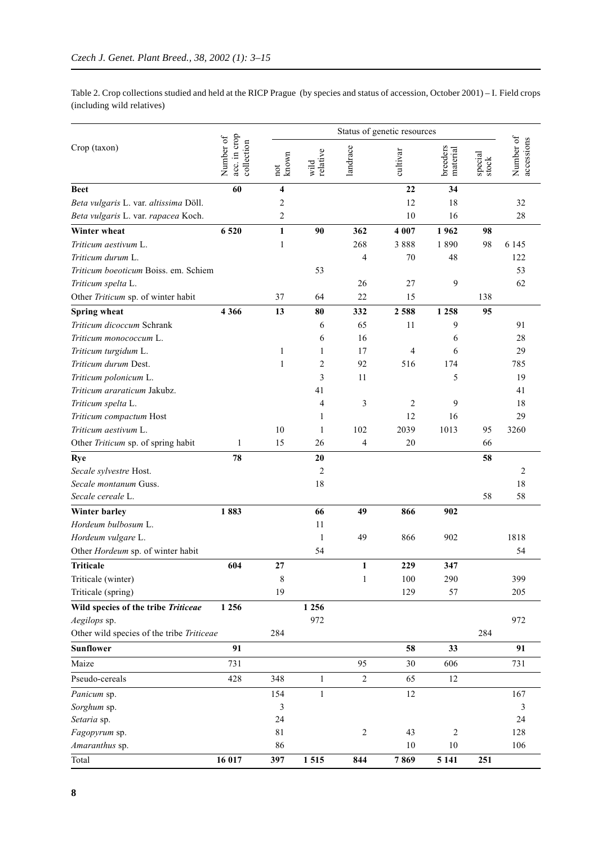Table 2. Crop collections studied and held at the RICP Prague (by species and status of accession, October 2001) – I. Field crops (including wild relatives)

|                                                |                                         | Status of genetic resources   |                  |                |                |                      |                  |                         |
|------------------------------------------------|-----------------------------------------|-------------------------------|------------------|----------------|----------------|----------------------|------------------|-------------------------|
| Crop (taxon)                                   | acc. in crop<br>Number of<br>collection | $\operatorname{known}$<br>not | relative<br>wild | landrace       | cultivar       | breeders<br>material | special<br>stock | Number of<br>accessions |
| <b>Beet</b>                                    | 60                                      | $\overline{\bf{4}}$           |                  |                | 22             | 34                   |                  |                         |
| Beta vulgaris L. var. altissima Döll.          |                                         | $\overline{c}$                |                  |                | 12             | 18                   |                  | 32                      |
| Beta vulgaris L. var. rapacea Koch.            |                                         | $\overline{c}$                |                  |                | 10             | 16                   |                  | 28                      |
| <b>Winter wheat</b>                            | 6 5 20                                  | $\mathbf{1}$                  | 90               | 362            | 4 007          | 1962                 | 98               |                         |
| Triticum aestivum L.                           |                                         | 1                             |                  | 268            | 3 8 8 8        | 1890                 | 98               | 6 1 4 5                 |
| Triticum durum L.                              |                                         |                               |                  | 4              | 70             | 48                   |                  | 122                     |
| Triticum boeoticum Boiss. em. Schiem           |                                         |                               | 53               |                |                |                      |                  | 53                      |
| Triticum spelta L.                             |                                         |                               |                  | 26             | 27             | 9                    |                  | 62                      |
| Other Triticum sp. of winter habit             |                                         | 37                            | 64               | 22             | 15             |                      | 138              |                         |
| Spring wheat                                   | 4 3 6 6                                 | 13                            | 80               | 332            | 2588           | 1 2 5 8              | 95               |                         |
| Triticum dicoccum Schrank                      |                                         |                               | 6                | 65             | 11             | 9                    |                  | 91                      |
| Triticum monococcum L.                         |                                         |                               | 6                | 16             |                | 6                    |                  | 28                      |
| Triticum turgidum L.                           |                                         | 1                             | 1                | 17             | 4              | 6                    |                  | 29                      |
| Triticum durum Dest.                           |                                         | 1                             | $\overline{c}$   | 92             | 516            | 174                  |                  | 785                     |
| Triticum polonicum L.                          |                                         |                               | 3                | 11             |                | 5                    |                  | 19                      |
| Triticum araraticum Jakubz.                    |                                         |                               | 41               |                |                |                      |                  | 41                      |
| Triticum spelta L.                             |                                         |                               | 4                | 3              | $\overline{2}$ | 9                    |                  | 18                      |
| Triticum compactum Host                        |                                         |                               | 1                |                | 12             | 16                   |                  | 29                      |
| Triticum aestivum L.                           |                                         | 10                            | 1                | 102            | 2039           | 1013                 | 95               | 3260                    |
| Other Triticum sp. of spring habit             | 1                                       | 15                            | 26               | 4              | 20             |                      | 66               |                         |
| <b>Rye</b>                                     | 78                                      |                               | 20               |                |                |                      | 58               |                         |
| Secale sylvestre Host.                         |                                         |                               | $\overline{c}$   |                |                |                      |                  | 2                       |
| Secale montanum Guss.                          |                                         |                               | 18               |                |                |                      |                  | 18                      |
| Secale cereale L.                              |                                         |                               |                  |                |                |                      | 58               | 58                      |
| Winter barley                                  | 1883                                    |                               | 66               | 49             | 866            | 902                  |                  |                         |
| Hordeum bulbosum L.                            |                                         |                               | 11               |                |                |                      |                  |                         |
| Hordeum vulgare L.                             |                                         |                               | 1                | 49             | 866            | 902                  |                  | 1818                    |
| Other Hordeum sp. of winter habit              |                                         |                               | 54               |                |                |                      |                  | 54                      |
| <b>Triticale</b>                               | 604                                     | 27                            |                  | 1              | 229            | 347                  |                  |                         |
| Triticale (winter)                             |                                         | $\,8\,$                       |                  | $\mathbf{1}$   | 100            | 290                  |                  | 399                     |
| Triticale (spring)                             |                                         | 19                            |                  |                | 129            | 57                   |                  | 205                     |
| Wild species of the tribe Triticeae<br>1 2 5 6 |                                         |                               | 1 2 5 6          |                |                |                      |                  |                         |
| Aegilops sp.                                   |                                         |                               | 972              |                |                |                      |                  | 972                     |
| Other wild species of the tribe Triticeae      |                                         | 284                           |                  |                |                |                      | 284              |                         |
| <b>Sunflower</b>                               | 91                                      |                               |                  |                | 58             | 33                   |                  | 91                      |
| Maize                                          | 731                                     |                               |                  | 95             | 30             | 606                  |                  | 731                     |
| Pseudo-cereals                                 | 428                                     | 348                           | $\mathbf{1}$     | $\sqrt{2}$     | 65             | 12                   |                  |                         |
| Panicum sp.                                    |                                         | 154                           | $\mathbf{1}$     |                | 12             |                      |                  | 167                     |
| Sorghum sp.                                    |                                         | 3                             |                  |                |                |                      |                  | 3                       |
| Setaria sp.                                    |                                         | 24                            |                  |                |                |                      |                  | 24                      |
| Fagopyrum sp.                                  |                                         | 81                            |                  | $\overline{2}$ | 43             | $\overline{2}$       |                  | 128                     |
| Amaranthus sp.                                 |                                         | 86                            |                  |                | 10             | $10\,$               |                  | 106                     |
| Total                                          | 16 017                                  | 397                           | 1515             | 844            | 7869           | 5 1 4 1              | 251              |                         |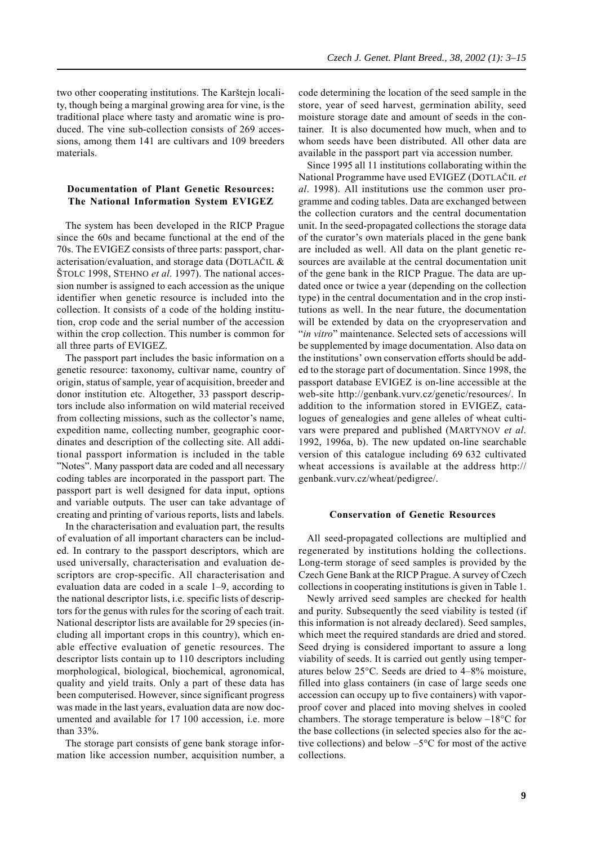two other cooperating institutions. The Karštejn locality, though being a marginal growing area for vine, is the traditional place where tasty and aromatic wine is produced. The vine sub-collection consists of 269 accessions, among them 141 are cultivars and 109 breeders materials.

## **Documentation of Plant Genetic Resources: The National Information System EVIGEZ**

The system has been developed in the RICP Prague since the 60s and became functional at the end of the 70s. The EVIGEZ consists of three parts: passport, characterisation/evaluation, and storage data (DOTLAČIL & ŠTOLC 1998, STEHNO *et al*. 1997). The national accession number is assigned to each accession as the unique identifier when genetic resource is included into the collection. It consists of a code of the holding institution, crop code and the serial number of the accession within the crop collection. This number is common for all three parts of EVIGEZ.

The passport part includes the basic information on a genetic resource: taxonomy, cultivar name, country of origin, status of sample, year of acquisition, breeder and donor institution etc. Altogether, 33 passport descriptors include also information on wild material received from collecting missions, such as the collector's name, expedition name, collecting number, geographic coordinates and description of the collecting site. All additional passport information is included in the table "Notes". Many passport data are coded and all necessary coding tables are incorporated in the passport part. The passport part is well designed for data input, options and variable outputs. The user can take advantage of creating and printing of various reports, lists and labels.

In the characterisation and evaluation part, the results of evaluation of all important characters can be included. In contrary to the passport descriptors, which are used universally, characterisation and evaluation descriptors are crop-specific. All characterisation and evaluation data are coded in a scale 1–9, according to the national descriptor lists, i.e. specific lists of descriptors for the genus with rules for the scoring of each trait. National descriptor lists are available for 29 species (including all important crops in this country), which enable effective evaluation of genetic resources. The descriptor lists contain up to 110 descriptors including morphological, biological, biochemical, agronomical, quality and yield traits. Only a part of these data has been computerised. However, since significant progress was made in the last years, evaluation data are now documented and available for 17 100 accession, i.e. more than 33%.

The storage part consists of gene bank storage information like accession number, acquisition number, a code determining the location of the seed sample in the store, year of seed harvest, germination ability, seed moisture storage date and amount of seeds in the container. It is also documented how much, when and to whom seeds have been distributed. All other data are available in the passport part via accession number.

Since 1995 all 11 institutions collaborating within the National Programme have used EVIGEZ (DOTLAČIL *et al*. 1998). All institutions use the common user programme and coding tables. Data are exchanged between the collection curators and the central documentation unit. In the seed-propagated collections the storage data of the curator's own materials placed in the gene bank are included as well. All data on the plant genetic resources are available at the central documentation unit of the gene bank in the RICP Prague. The data are updated once or twice a year (depending on the collection type) in the central documentation and in the crop institutions as well. In the near future, the documentation will be extended by data on the cryopreservation and "*in vitro*" maintenance. Selected sets of accessions will be supplemented by image documentation. Also data on the institutions' own conservation efforts should be added to the storage part of documentation. Since 1998, the passport database EVIGEZ is on-line accessible at the web-site http://genbank.vurv.cz/genetic/resources/. In addition to the information stored in EVIGEZ, catalogues of genealogies and gene alleles of wheat cultivars were prepared and published (MARTYNOV *et al*. 1992, 1996a, b). The new updated on-line searchable version of this catalogue including 69 632 cultivated wheat accessions is available at the address http:// genbank.vurv.cz/wheat/pedigree/.

#### **Conservation of Genetic Resources**

All seed-propagated collections are multiplied and regenerated by institutions holding the collections. Long-term storage of seed samples is provided by the Czech Gene Bank at the RICP Prague. A survey of Czech collections in cooperating institutions is given in Table 1.

Newly arrived seed samples are checked for health and purity. Subsequently the seed viability is tested (if this information is not already declared). Seed samples, which meet the required standards are dried and stored. Seed drying is considered important to assure a long viability of seeds. It is carried out gently using temperatures below 25°C. Seeds are dried to 4–8% moisture, filled into glass containers (in case of large seeds one accession can occupy up to five containers) with vaporproof cover and placed into moving shelves in cooled chambers. The storage temperature is below –18°C for the base collections (in selected species also for the active collections) and below –5°C for most of the active collections.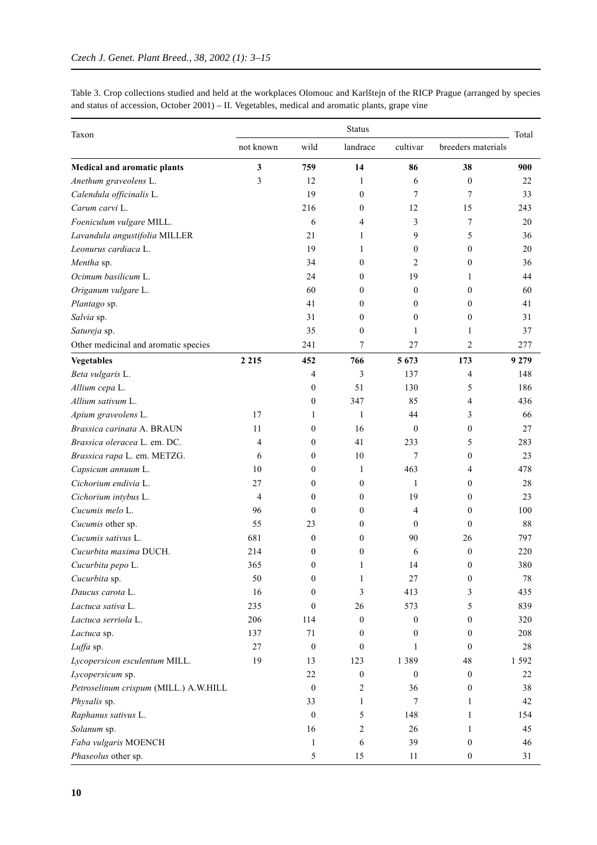Table 3. Crop collections studied and held at the workplaces Olomouc and Karlštejn of the RICP Prague (arranged by species and status of accession, October 2001) – II. Vegetables, medical and aromatic plants, grape vine

| Taxon                                 | <b>Status</b>  |                  |                  |                  |                    |         |
|---------------------------------------|----------------|------------------|------------------|------------------|--------------------|---------|
|                                       | not known      | wild             | landrace         | cultivar         | breeders materials | Total   |
| <b>Medical and aromatic plants</b>    | 3              | 759              | 14               | 86               | 38                 | 900     |
| Anethum graveolens L.                 | 3              | 12               | 1                | 6                | $\mathbf{0}$       | 22      |
| Calendula officinalis L.              |                | 19               | $\theta$         | 7                | 7                  | 33      |
| Carum carvi L.                        |                | 216              | $\boldsymbol{0}$ | 12               | 15                 | 243     |
| Foeniculum vulgare MILL.              |                | 6                | 4                | 3                | 7                  | 20      |
| Lavandula angustifolia MILLER         |                | 21               | 1                | 9                | 5                  | 36      |
| Leonurus cardiaca L.                  |                | 19               | 1                | $\overline{0}$   | $\theta$           | 20      |
| Mentha sp.                            |                | 34               | $\mathbf{0}$     | 2                | $\theta$           | 36      |
| Ocimum basilicum L.                   |                | 24               | $\theta$         | 19               | 1                  | 44      |
| Origanum vulgare L.                   |                | 60               | $\mathbf{0}$     | $\mathbf{0}$     | $\theta$           | 60      |
| Plantago sp.                          |                | 41               | $\mathbf{0}$     | $\overline{0}$   | $\theta$           | 41      |
| Salvia sp.                            |                | 31               | $\mathbf{0}$     | $\Omega$         | $\theta$           | 31      |
| Satureja sp.                          |                | 35               | $\boldsymbol{0}$ | 1                | 1                  | 37      |
| Other medicinal and aromatic species  |                | 241              | 7                | 27               | $\overline{2}$     | 277     |
| <b>Vegetables</b>                     | 2 2 1 5        | 452              | 766              | 5 6 7 3          | 173                | 9 2 7 9 |
| Beta vulgaris L.                      |                | 4                | 3                | 137              | 4                  | 148     |
| Allium cepa L.                        |                | $\boldsymbol{0}$ | 51               | 130              | 5                  | 186     |
| Allium sativum L.                     |                | $\boldsymbol{0}$ | 347              | 85               | 4                  | 436     |
| Apium graveolens L.                   | 17             | 1                | 1                | 44               | 3                  | 66      |
| Brassica carinata A. BRAUN            | 11             | $\boldsymbol{0}$ | 16               | $\mathbf{0}$     | $\theta$           | 27      |
| Brassica oleracea L. em. DC.          | 4              | $\boldsymbol{0}$ | 41               | 233              | 5                  | 283     |
| Brassica rapa L. em. METZG.           | 6              | 0                | 10               | $\tau$           | $\theta$           | 23      |
| Capsicum annuum L.                    | 10             | $\boldsymbol{0}$ | 1                | 463              | 4                  | 478     |
| Cichorium endivia L.                  | 27             | 0                | $\theta$         | 1                | $\theta$           | 28      |
| Cichorium intybus L.                  | $\overline{4}$ | $\boldsymbol{0}$ | $\boldsymbol{0}$ | 19               | $\theta$           | 23      |
| Cucumis melo L.                       | 96             | $\theta$         | $\theta$         | 4                | $\theta$           | 100     |
| Cucumis other sp.                     | 55             | 23               | $\boldsymbol{0}$ | $\theta$         | $\theta$           | 88      |
| Cucumis sativus L.                    | 681            | $\boldsymbol{0}$ | $\mathbf{0}$     | 90               | 26                 | 797     |
| Cucurbita maxima DUCH.                | 214            | $\mathbf{0}$     | $\boldsymbol{0}$ | 6                | $\mathbf{0}$       | 220     |
| Cucurbita pepo L.                     | 365            | $\boldsymbol{0}$ | 1                | 14               | $\mathbf{0}$       | 380     |
| Cucurbita sp.                         | 50             | $\boldsymbol{0}$ | $\mathbf{1}$     | $27\,$           | $\boldsymbol{0}$   | 78      |
| Daucus carota L.                      | 16             | $\boldsymbol{0}$ | 3                | 413              | 3                  | 435     |
| Lactuca sativa L.                     | 235            | $\boldsymbol{0}$ | 26               | 573              | 5                  | 839     |
| Lactuca serriola L.                   | 206            | 114              | $\boldsymbol{0}$ | $\boldsymbol{0}$ | $\boldsymbol{0}$   | 320     |
| Lactuca sp.                           | 137            | 71               | $\boldsymbol{0}$ | $\mathbf{0}$     | $\mathbf{0}$       | 208     |
| Luffa sp.                             | 27             | $\mathbf{0}$     | $\mathbf{0}$     | 1                | $\theta$           | 28      |
| Lycopersicon esculentum MILL.         | 19             | 13               | 123              | 1 3 8 9          | 48                 | 1 5 9 2 |
| Lycopersicum sp.                      |                | 22               | $\boldsymbol{0}$ | $\boldsymbol{0}$ | $\mathbf{0}$       | 22      |
| Petroselinum crispum (MILL.) A.W.HILL |                | $\mathbf{0}$     | 2                | 36               | $\mathbf{0}$       | 38      |
| Physalis sp.                          |                | 33               | 1                | 7                | 1                  | 42      |
| Raphanus sativus L.                   |                | $\boldsymbol{0}$ | 5                | 148              | 1                  | 154     |
| Solanum sp.                           |                | 16               | 2                | 26               | 1                  | 45      |
| Faba vulgaris MOENCH                  |                | $\mathbf{1}$     | 6                | 39               | $\mathbf{0}$       | 46      |
| Phaseolus other sp.                   |                | 5                | 15               | 11               | $\boldsymbol{0}$   | 31      |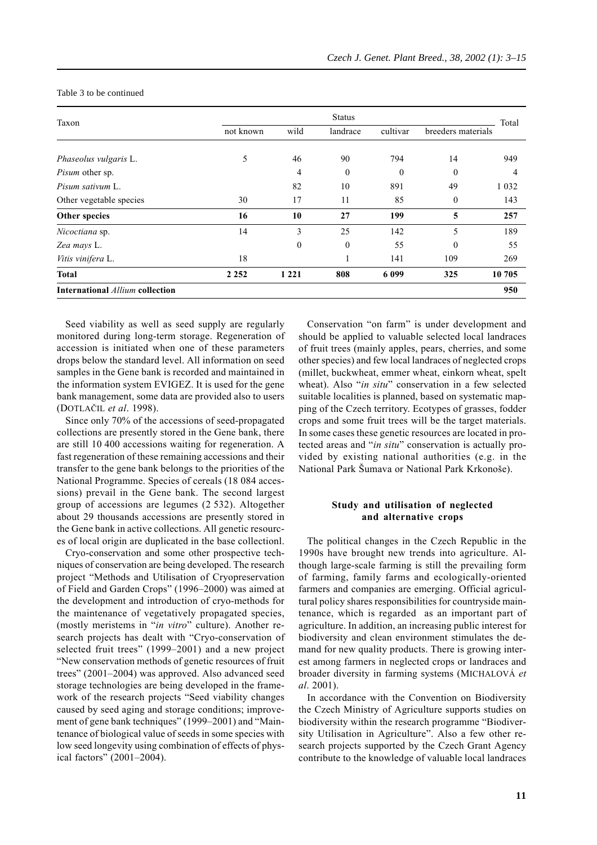| Taxon                                  | <b>Status</b> |                      |                  |                    |              |         |
|----------------------------------------|---------------|----------------------|------------------|--------------------|--------------|---------|
|                                        | not known     | landrace<br>cultivar |                  | breeders materials | Total        |         |
|                                        |               |                      |                  |                    |              |         |
| Phaseolus vulgaris L.                  | 5             | 46                   | 90               | 794                | 14           | 949     |
| Pisum other sp.                        |               | 4                    | $\mathbf{0}$     | $\Omega$           | $\theta$     | 4       |
| Pisum sativum L.                       |               | 82                   | 10               | 891                | 49           | 1 0 3 2 |
| Other vegetable species                | 30            | 17                   | 11               | 85                 | $\mathbf{0}$ | 143     |
| Other species                          | 16            | 10                   | 27               | 199                | 5            | 257     |
| Nicoctiana sp.                         | 14            | 3                    | 25               | 142                | 5            | 189     |
| Zea mays L.                            |               | $\mathbf{0}$         | $\boldsymbol{0}$ | 55                 | $\theta$     | 55      |
| Vitis vinifera L.                      | 18            |                      | 1                | 141                | 109          | 269     |
| <b>Total</b>                           | 2 2 5 2       | 1 2 2 1              | 808              | 6 0 9 9            | 325          | 10 705  |
| <b>International Allium collection</b> |               |                      |                  |                    |              | 950     |

## Table 3 to be continued

Seed viability as well as seed supply are regularly monitored during long-term storage. Regeneration of accession is initiated when one of these parameters drops below the standard level. All information on seed samples in the Gene bank is recorded and maintained in the information system EVIGEZ. It is used for the gene bank management, some data are provided also to users (DOTLAČIL *et al*. 1998).

Since only 70% of the accessions of seed-propagated collections are presently stored in the Gene bank, there are still 10 400 accessions waiting for regeneration. A fast regeneration of these remaining accessions and their transfer to the gene bank belongs to the priorities of the National Programme. Species of cereals (18 084 accessions) prevail in the Gene bank. The second largest group of accessions are legumes (2 532). Altogether about 29 thousands accessions are presently stored in the Gene bank in active collections. All genetic resources of local origin are duplicated in the base collectionl.

Cryo-conservation and some other prospective techniques of conservation are being developed. The research project "Methods and Utilisation of Cryopreservation of Field and Garden Crops" (1996–2000) was aimed at the development and introduction of cryo-methods for the maintenance of vegetatively propagated species, (mostly meristems in "*in vitro*" culture). Another research projects has dealt with "Cryo-conservation of selected fruit trees" (1999–2001) and a new project "New conservation methods of genetic resources of fruit trees" (2001–2004) was approved. Also advanced seed storage technologies are being developed in the framework of the research projects "Seed viability changes caused by seed aging and storage conditions; improvement of gene bank techniques" (1999–2001) and "Maintenance of biological value of seeds in some species with low seed longevity using combination of effects of physical factors" (2001–2004).

Conservation "on farm" is under development and should be applied to valuable selected local landraces of fruit trees (mainly apples, pears, cherries, and some other species) and few local landraces of neglected crops (millet, buckwheat, emmer wheat, einkorn wheat, spelt wheat). Also "*in situ*" conservation in a few selected suitable localities is planned, based on systematic mapping of the Czech territory. Ecotypes of grasses, fodder crops and some fruit trees will be the target materials. In some cases these genetic resources are located in protected areas and "*in situ*" conservation is actually provided by existing national authorities (e.g. in the National Park Šumava or National Park Krkonoše).

## **Study and utilisation of neglected and alternative crops**

The political changes in the Czech Republic in the 1990s have brought new trends into agriculture. Although large-scale farming is still the prevailing form of farming, family farms and ecologically-oriented farmers and companies are emerging. Official agricultural policy shares responsibilities for countryside maintenance, which is regarded as an important part of agriculture. In addition, an increasing public interest for biodiversity and clean environment stimulates the demand for new quality products. There is growing interest among farmers in neglected crops or landraces and broader diversity in farming systems (MICHALOVÁ *et al*. 2001).

In accordance with the Convention on Biodiversity the Czech Ministry of Agriculture supports studies on biodiversity within the research programme "Biodiversity Utilisation in Agriculture". Also a few other research projects supported by the Czech Grant Agency contribute to the knowledge of valuable local landraces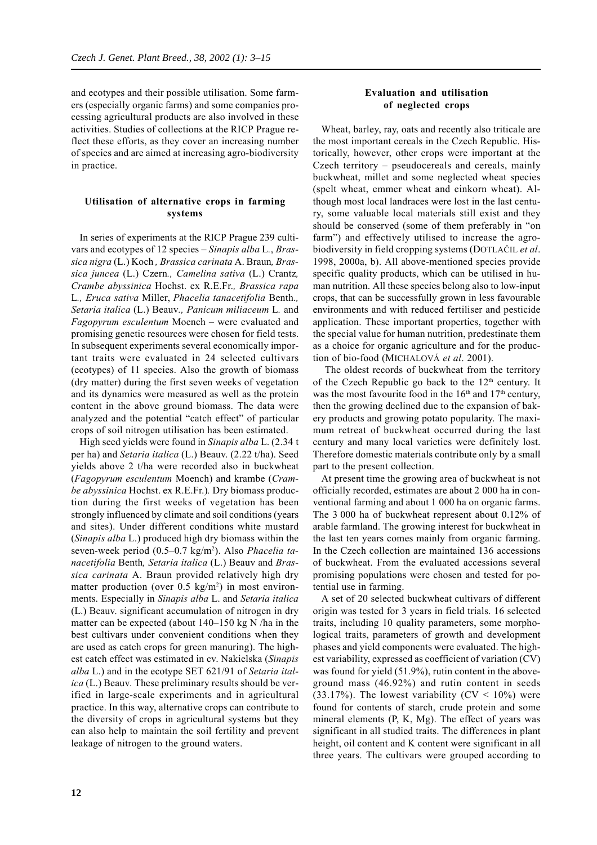and ecotypes and their possible utilisation. Some farmers (especially organic farms) and some companies processing agricultural products are also involved in these activities. Studies of collections at the RICP Prague reflect these efforts, as they cover an increasing number of species and are aimed at increasing agro-biodiversity in practice.

## **Utilisation of alternative crops in farming systems**

In series of experiments at the RICP Prague 239 cultivars and ecotypes of 12 species – *Sinapis alba* L*.*, *Brassica nigra* (L.) Koch *, Brassica carinata* A. Braun*, Brassica juncea* (L.) Czern*., Camelina sativa* (L.) Crantz*, Crambe abyssinica* Hochst. ex R.E.Fr.*, Brassica rapa* L*., Eruca sativa* Miller, *Phacelia tanacetifolia* Benth.*, Setaria italica* (L.) Beauv*., Panicum miliaceum* L*.* and *Fagopyrum esculentum* Moench *–* were evaluated and promising genetic resources were chosen for field tests. In subsequent experiments several economically important traits were evaluated in 24 selected cultivars (ecotypes) of 11 species. Also the growth of biomass (dry matter) during the first seven weeks of vegetation and its dynamics were measured as well as the protein content in the above ground biomass. The data were analyzed and the potential "catch effect" of particular crops of soil nitrogen utilisation has been estimated.

High seed yields were found in *Sinapis alba* L. (2.34 t per ha) and *Setaria italica* (L.) Beauv. (2.22 t/ha). Seed yields above 2 t/ha were recorded also in buckwheat (*Fagopyrum esculentum* Moench) and krambe (*Crambe abyssinica* Hochst. ex R.E.Fr.)*.* Dry biomass production during the first weeks of vegetation has been strongly influenced by climate and soil conditions (years and sites). Under different conditions white mustard (*Sinapis alba* L.) produced high dry biomass within the seven-week period (0.5–0.7 kg/m2 ). Also *Phacelia tanacetifolia* Benth*, Setaria italica* (L.) Beauv and *Brassica carinata* A. Braun provided relatively high dry matter production (over  $0.5 \text{ kg/m}^2$ ) in most environments. Especially in *Sinapis alba* L. and *Setaria italica* (L.) Beauv. significant accumulation of nitrogen in dry matter can be expected (about 140–150 kg N /ha in the best cultivars under convenient conditions when they are used as catch crops for green manuring). The highest catch effect was estimated in cv. Nakielska (*Sinapis alba* L.) and in the ecotype SET 621/91 of *Setaria italica* (L.) Beauv*.* These preliminary results should be verified in large-scale experiments and in agricultural practice. In this way, alternative crops can contribute to the diversity of crops in agricultural systems but they can also help to maintain the soil fertility and prevent leakage of nitrogen to the ground waters.

## **Evaluation and utilisation of neglected crops**

Wheat, barley, ray, oats and recently also triticale are the most important cereals in the Czech Republic. Historically, however, other crops were important at the Czech territory – pseudocereals and cereals, mainly buckwheat, millet and some neglected wheat species (spelt wheat, emmer wheat and einkorn wheat). Although most local landraces were lost in the last century, some valuable local materials still exist and they should be conserved (some of them preferably in "on farm") and effectively utilised to increase the agrobiodiversity in field cropping systems (DOTLAČIL *et al*. 1998, 2000a, b). All above-mentioned species provide specific quality products, which can be utilised in human nutrition. All these species belong also to low-input crops, that can be successfully grown in less favourable environments and with reduced fertiliser and pesticide application. These important properties, together with the special value for human nutrition, predestinate them as a choice for organic agriculture and for the production of bio-food (MICHALOVÁ *et al*. 2001).

 The oldest records of buckwheat from the territory of the Czech Republic go back to the  $12<sup>th</sup>$  century. It was the most favourite food in the  $16<sup>th</sup>$  and  $17<sup>th</sup>$  century, then the growing declined due to the expansion of bakery products and growing potato popularity. The maximum retreat of buckwheat occurred during the last century and many local varieties were definitely lost. Therefore domestic materials contribute only by a small part to the present collection.

At present time the growing area of buckwheat is not officially recorded, estimates are about 2 000 ha in conventional farming and about 1 000 ha on organic farms. The 3 000 ha of buckwheat represent about 0.12% of arable farmland. The growing interest for buckwheat in the last ten years comes mainly from organic farming. In the Czech collection are maintained 136 accessions of buckwheat. From the evaluated accessions several promising populations were chosen and tested for potential use in farming.

A set of 20 selected buckwheat cultivars of different origin was tested for 3 years in field trials. 16 selected traits, including 10 quality parameters, some morphological traits, parameters of growth and development phases and yield components were evaluated. The highest variability, expressed as coefficient of variation (CV) was found for yield (51.9%), rutin content in the aboveground mass (46.92%) and rutin content in seeds (33.17%). The lowest variability ( $CV < 10\%$ ) were found for contents of starch, crude protein and some mineral elements (P, K, Mg). The effect of years was significant in all studied traits. The differences in plant height, oil content and K content were significant in all three years. The cultivars were grouped according to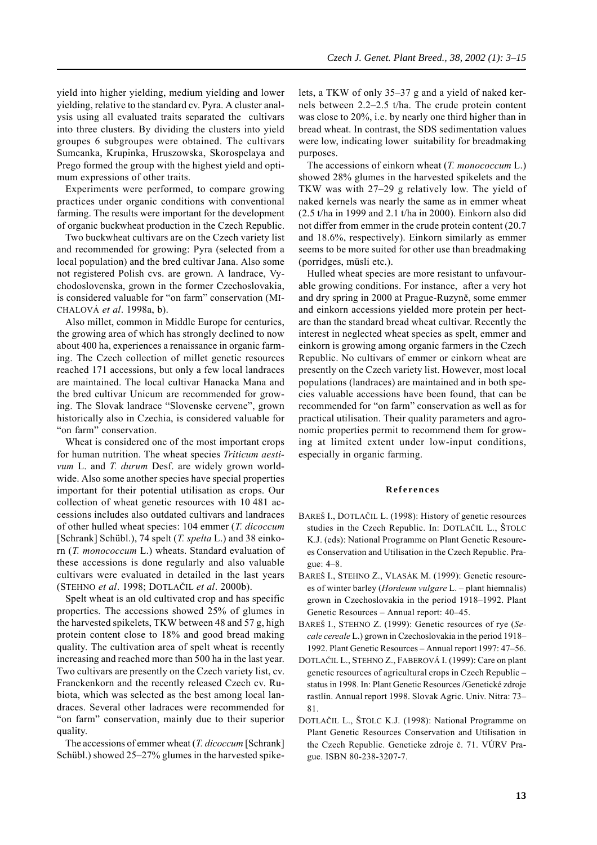yield into higher yielding, medium yielding and lower yielding, relative to the standard cv. Pyra. A cluster analysis using all evaluated traits separated the cultivars into three clusters. By dividing the clusters into yield groupes 6 subgroupes were obtained. The cultivars Sumcanka, Krupinka, Hruszowska, Skorospelaya and Prego formed the group with the highest yield and optimum expressions of other traits.

Experiments were performed, to compare growing practices under organic conditions with conventional farming. The results were important for the development of organic buckwheat production in the Czech Republic.

Two buckwheat cultivars are on the Czech variety list and recommended for growing: Pyra (selected from a local population) and the bred cultivar Jana. Also some not registered Polish cvs. are grown. A landrace, Vychodoslovenska, grown in the former Czechoslovakia, is considered valuable for "on farm" conservation (MI-CHALOVÁ *et al*. 1998a, b).

Also millet, common in Middle Europe for centuries, the growing area of which has strongly declined to now about 400 ha, experiences a renaissance in organic farming. The Czech collection of millet genetic resources reached 171 accessions, but only a few local landraces are maintained. The local cultivar Hanacka Mana and the bred cultivar Unicum are recommended for growing. The Slovak landrace "Slovenske cervene", grown historically also in Czechia, is considered valuable for "on farm" conservation.

Wheat is considered one of the most important crops for human nutrition. The wheat species *Triticum aestivum L. and T. durum Desf. are widely grown world*wide. Also some another species have special properties important for their potential utilisation as crops. Our collection of wheat genetic resources with 10 481 accessions includes also outdated cultivars and landraces of other hulled wheat species: 104 emmer (*T. dicoccum* [Schrank] Schübl.), 74 spelt (*T. spelta* L.) and 38 einkorn (*T. monococcum* L.) wheats. Standard evaluation of these accessions is done regularly and also valuable cultivars were evaluated in detailed in the last years (STEHNO *et al*. 1998; DOTLAČIL *et al*. 2000b).

Spelt wheat is an old cultivated crop and has specific properties. The accessions showed 25% of glumes in the harvested spikelets, TKW between 48 and 57 g, high protein content close to 18% and good bread making quality. The cultivation area of spelt wheat is recently increasing and reached more than 500 ha in the last year. Two cultivars are presently on the Czech variety list, cv. Franckenkorn and the recently released Czech cv. Rubiota, which was selected as the best among local landraces. Several other ladraces were recommended for "on farm" conservation, mainly due to their superior quality.

The accessions of emmer wheat (*T. dicoccum* [Schrank] Schübl.) showed 25–27% glumes in the harvested spikelets, a TKW of only 35–37 g and a yield of naked kernels between 2.2–2.5 t/ha. The crude protein content was close to 20%, i.e. by nearly one third higher than in bread wheat. In contrast, the SDS sedimentation values were low, indicating lower suitability for breadmaking purposes.

The accessions of einkorn wheat (*T. monococcum* L.) showed 28% glumes in the harvested spikelets and the TKW was with 27–29 g relatively low. The yield of naked kernels was nearly the same as in emmer wheat (2.5 t/ha in 1999 and 2.1 t/ha in 2000). Einkorn also did not differ from emmer in the crude protein content (20.7 and 18.6%, respectively). Einkorn similarly as emmer seems to be more suited for other use than breadmaking (porridges, müsli etc.).

Hulled wheat species are more resistant to unfavourable growing conditions. For instance, after a very hot and dry spring in 2000 at Prague-Ruzyně, some emmer and einkorn accessions yielded more protein per hectare than the standard bread wheat cultivar. Recently the interest in neglected wheat species as spelt, emmer and einkorn is growing among organic farmers in the Czech Republic. No cultivars of emmer or einkorn wheat are presently on the Czech variety list. However, most local populations (landraces) are maintained and in both species valuable accessions have been found, that can be recommended for "on farm" conservation as well as for practical utilisation. Their quality parameters and agronomic properties permit to recommend them for growing at limited extent under low-input conditions, especially in organic farming.

#### **References**

- BAREŠ I., DOTLAČIL L. (1998): History of genetic resources studies in the Czech Republic. In: DOTLAČIL L., ŠTOLC K.J. (eds): National Programme on Plant Genetic Resources Conservation and Utilisation in the Czech Republic. Prague: 4–8.
- BAREŠ I., STEHNO Z., VLASÁK M. (1999): Genetic resources of winter barley (*Hordeum vulgare* L. – plant hiemnalis) grown in Czechoslovakia in the period 1918–1992. Plant Genetic Resources – Annual report: 40–45.
- BAREŠ I., STEHNO Z. (1999): Genetic resources of rye (*Secale cereale* L.) grown in Czechoslovakia in the period 1918– 1992. Plant Genetic Resources – Annual report 1997: 47–56.
- DOTLAČIL L., STEHNO Z., FABEROVÁ I. (1999): Care on plant genetic resources of agricultural crops in Czech Republic – status in 1998. In: Plant Genetic Resources /Genetické zdroje rastlín. Annual report 1998. Slovak Agric. Univ. Nitra: 73– 81.
- DOTLAČIL L., ŠTOLC K.J. (1998): National Programme on Plant Genetic Resources Conservation and Utilisation in the Czech Republic. Geneticke zdroje č. 71. VÚRV Prague. ISBN 80-238-3207-7.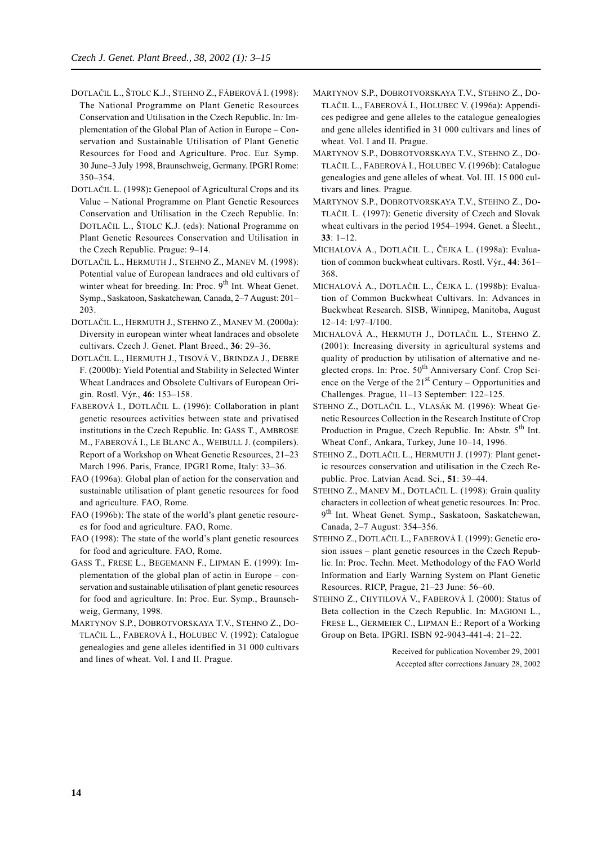- DOTLAČIL L., ŠTOLC K.J., STEHNO Z., FÁBEROVÁ I. (1998): The National Programme on Plant Genetic Resources Conservation and Utilisation in the Czech Republic. In*:* Implementation of the Global Plan of Action in Europe – Conservation and Sustainable Utilisation of Plant Genetic Resources for Food and Agriculture. Proc. Eur. Symp. 30 June–3 July 1998, Braunschweig, Germany. IPGRI Rome: 350–354.
- DOTLAČIL L. (1998)**:** Genepool of Agricultural Crops and its Value – National Programme on Plant Genetic Resources Conservation and Utilisation in the Czech Republic. In: DOTLAČIL L., ŠTOLC K.J. (eds): National Programme on Plant Genetic Resources Conservation and Utilisation in the Czech Republic. Prague: 9–14.
- DOTLAČIL L., HERMUTH J., STEHNO Z., MANEV M. (1998): Potential value of European landraces and old cultivars of winter wheat for breeding. In: Proc. 9<sup>th</sup> Int. Wheat Genet. Symp., Saskatoon, Saskatchewan*,* Canada, 2–7 August: 201– 203.
- DOTLAČIL L., HERMUTH J., STEHNO Z., MANEV M. (2000a): Diversity in european winter wheat landraces and obsolete cultivars. Czech J. Genet. Plant Breed., **36**: 29–36.
- DOTLAČIL L., HERMUTH J., TISOVÁ V., BRINDZA J., DEBRE F. (2000b): Yield Potential and Stability in Selected Winter Wheat Landraces and Obsolete Cultivars of European Origin. Rostl. Výr., **46**: 153–158.
- FABEROVÁ I., DOTLAČIL L. (1996): Collaboration in plant genetic resources activities between state and privatised institutions in the Czech Republic. In: GASS T., AMBROSE M., FABEROVÁ I., LE BLANC A., WEIBULL J. (compilers). Report of a Workshop on Wheat Genetic Resources, 21–23 March 1996. Paris, France*,* IPGRI Rome, Italy: 33–36.
- FAO (1996a): Global plan of action for the conservation and sustainable utilisation of plant genetic resources for food and agriculture. FAO, Rome.
- FAO (1996b): The state of the world's plant genetic resources for food and agriculture. FAO, Rome.
- FAO (1998): The state of the world's plant genetic resources for food and agriculture. FAO, Rome.
- GASS T., FRESE L., BEGEMANN F., LIPMAN E. (1999): Implementation of the global plan of actin in Europe – conservation and sustainable utilisation of plant genetic resources for food and agriculture. In: Proc. Eur. Symp., Braunschweig, Germany, 1998.
- MARTYNOV S.P., DOBROTVORSKAYA T.V., STEHNO Z., DO-TLAČIL L., FABEROVÁ I., HOLUBEC V. (1992): Catalogue genealogies and gene alleles identified in 31 000 cultivars and lines of wheat. Vol. I and II. Prague.
- MARTYNOV S.P., DOBROTVORSKAYA T.V., STEHNO Z., DO-TLAČIL L., FABEROVÁ I., HOLUBEC V. (1996a): Appendices pedigree and gene alleles to the catalogue genealogies and gene alleles identified in 31 000 cultivars and lines of wheat. Vol. I and II. Prague.
- MARTYNOV S.P., DOBROTVORSKAYA T.V., STEHNO Z., DO-TLAČIL L., FABEROVÁ I., HOLUBEC V. (1996b): Catalogue genealogies and gene alleles of wheat. Vol. III. 15 000 cultivars and lines. Prague.
- MARTYNOV S.P., DOBROTVORSKAYA T.V., STEHNO Z., DO-TLAČIL L. (1997): Genetic diversity of Czech and Slovak wheat cultivars in the period 1954–1994. Genet. a Šlecht., **33**: 1–12.
- MICHALOVÁ A., DOTLAČIL L., ČEJKA L. (1998a): Evaluation of common buckwheat cultivars. Rostl. Výr., **44**: 361– 368.
- MICHALOVÁ A., DOTLAČIL L., ČEJKA L. (1998b): Evaluation of Common Buckwheat Cultivars. In: Advances in Buckwheat Research. SISB, Winnipeg, Manitoba, August 12–14: I/97–I/100.
- MICHALOVÁ A., HERMUTH J., DOTLAČIL L., STEHNO Z. (2001): Increasing diversity in agricultural systems and quality of production by utilisation of alternative and neglected crops. In: Proc.  $50<sup>th</sup>$  Anniversary Conf. Crop Science on the Verge of the  $21<sup>st</sup>$  Century – Opportunities and Challenges. Prague, 11–13 September: 122–125.
- STEHNO Z., DOTLAČIL L., VLASÁK M. (1996): Wheat Genetic Resources Collection in the Research Institute of Crop Production in Prague, Czech Republic. In: Abstr. 5<sup>th</sup> Int. Wheat Conf., Ankara, Turkey, June 10–14, 1996.
- STEHNO Z., DOTLAČIL L., HERMUTH J. (1997): Plant genetic resources conservation and utilisation in the Czech Republic. Proc. Latvian Acad. Sci., **51**: 39–44.
- STEHNO Z., MANEV M., DOTLAČIL L. (1998): Grain quality characters in collection of wheat genetic resources. In: Proc. 9<sup>th</sup> Int. Wheat Genet. Symp., Saskatoon, Saskatchewan, Canada, 2–7 August: 354–356.
- STEHNO Z., DOTLAČIL L., FABEROVÁ I. (1999): Genetic erosion issues – plant genetic resources in the Czech Republic. In: Proc. Techn. Meet. Methodology of the FAO World Information and Early Warning System on Plant Genetic Resources. RICP, Prague, 21–23 June: 56–60.
- STEHNO Z., CHYTILOVÁ V., FABEROVÁ I. (2000): Status of Beta collection in the Czech Republic. In: MAGIONI L., FRESE L., GERMEIER C., LIPMAN E.: Report of a Working Group on Beta. IPGRI. ISBN 92-9043-441-4: 21–22.

Received for publication November 29, 2001 Accepted after corrections January 28, 2002